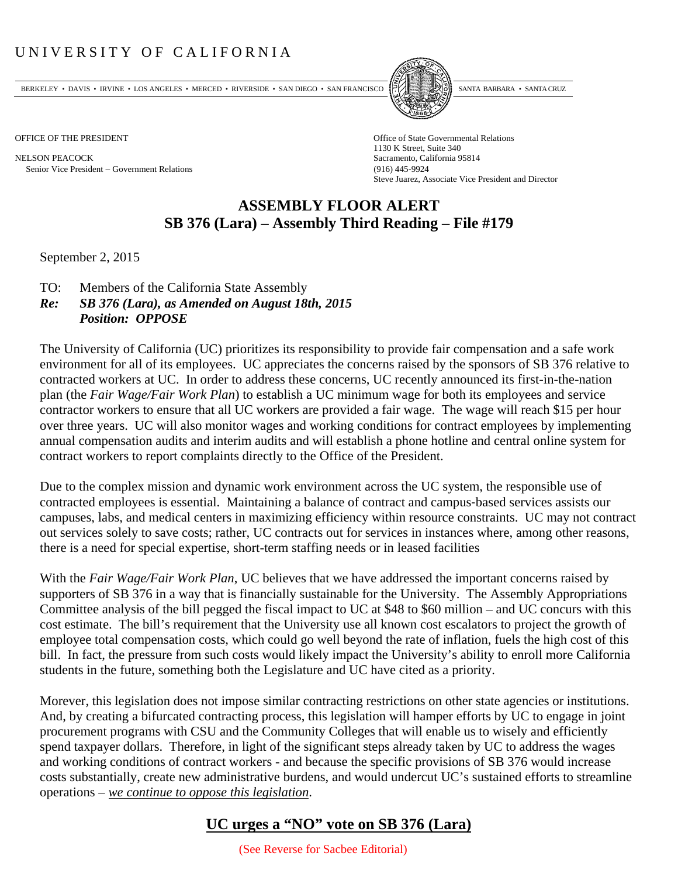## UNIVERSITY OF CALIFORNIA

BERKELEY • DAVIS • IRVINE • LOS ANGELES • MERCED • RIVERSIDE • SAN DIEGO • SAN FRANCISCO PARTA EXIMITAL BARBARA • SANTA CRUZ

NELSON PEACOCK Sacramento, California 95814 Senior Vice President Government Relations (916) 445-9924



OFFICE OF THE PRESIDENT STATES OF THE PRESIDENT 1130 K Street, Suite 340 Steve Juarez, Associate Vice President and Director

## **ASSEMBLY FLOOR ALERT SB 376 (Lara) – Assembly Third Reading – File #179**

September 2, 2015

- TO: Members of the California State Assembly
- *Re: SB 376 (Lara), as Amended on August 18th, 2015 Position: OPPOSE*

The University of California (UC) prioritizes its responsibility to provide fair compensation and a safe work environment for all of its employees. UC appreciates the concerns raised by the sponsors of SB 376 relative to contracted workers at UC. In order to address these concerns, UC recently announced its first-in-the-nation plan (the *Fair Wage/Fair Work Plan*) to establish a UC minimum wage for both its employees and service contractor workers to ensure that all UC workers are provided a fair wage. The wage will reach \$15 per hour over three years. UC will also monitor wages and working conditions for contract employees by implementing annual compensation audits and interim audits and will establish a phone hotline and central online system for contract workers to report complaints directly to the Office of the President.

Due to the complex mission and dynamic work environment across the UC system, the responsible use of contracted employees is essential. Maintaining a balance of contract and campus‐based services assists our campuses, labs, and medical centers in maximizing efficiency within resource constraints. UC may not contract out services solely to save costs; rather, UC contracts out for services in instances where, among other reasons, there is a need for special expertise, short-term staffing needs or in leased facilities

With the *Fair Wage/Fair Work Plan*, UC believes that we have addressed the important concerns raised by supporters of SB 376 in a way that is financially sustainable for the University. The Assembly Appropriations Committee analysis of the bill pegged the fiscal impact to UC at \$48 to \$60 million – and UC concurs with this cost estimate. The bill's requirement that the University use all known cost escalators to project the growth of employee total compensation costs, which could go well beyond the rate of inflation, fuels the high cost of this bill. In fact, the pressure from such costs would likely impact the University's ability to enroll more California students in the future, something both the Legislature and UC have cited as a priority.

Morever, this legislation does not impose similar contracting restrictions on other state agencies or institutions. And, by creating a bifurcated contracting process, this legislation will hamper efforts by UC to engage in joint procurement programs with CSU and the Community Colleges that will enable us to wisely and efficiently spend taxpayer dollars. Therefore, in light of the significant steps already taken by UC to address the wages and working conditions of contract workers - and because the specific provisions of SB 376 would increase costs substantially, create new administrative burdens, and would undercut UC's sustained efforts to streamline operations – *we continue to oppose this legislation*.

## **UC urges a "NO" vote on SB 376 (Lara)**